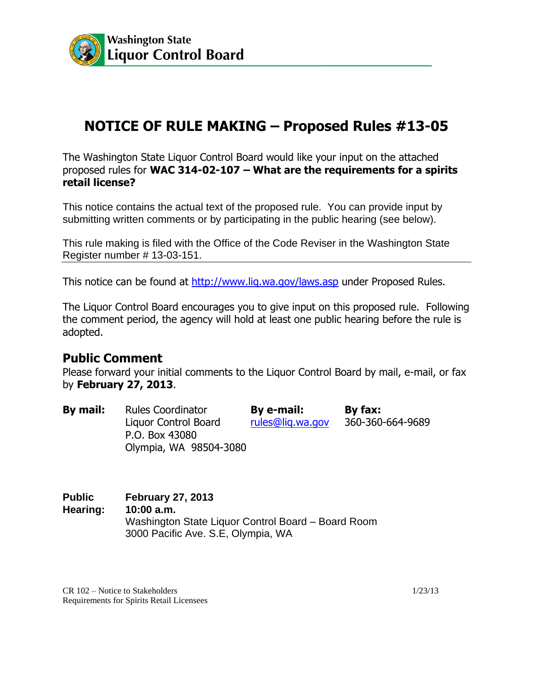

## **NOTICE OF RULE MAKING – Proposed Rules #13-05**

The Washington State Liquor Control Board would like your input on the attached proposed rules for **WAC 314-02-107 – What are the requirements for a spirits retail license?**

This notice contains the actual text of the proposed rule. You can provide input by submitting written comments or by participating in the public hearing (see below).

This rule making is filed with the Office of the Code Reviser in the Washington State Register number # 13-03-151.

This notice can be found at http://www.lig.wa.gov/laws.asp under Proposed Rules.

The Liquor Control Board encourages you to give input on this proposed rule. Following the comment period, the agency will hold at least one public hearing before the rule is adopted.

## **Public Comment**

Please forward your initial comments to the Liquor Control Board by mail, e-mail, or fax by **February 27, 2013**.

| By mail: | <b>Rules Coordinator</b> | By e-mail:       | By fax:          |
|----------|--------------------------|------------------|------------------|
|          | Liquor Control Board     | rules@lig.wa.gov | 360-360-664-9689 |
|          | P.O. Box 43080           |                  |                  |
|          | Olympia, WA 98504-3080   |                  |                  |

**Public February 27, 2013 Hearing: 10:00 a.m.** Washington State Liquor Control Board – Board Room 3000 Pacific Ave. S.E, Olympia, WA

CR 102 – Notice to Stakeholders 1/23/13 Requirements for Spirits Retail Licensees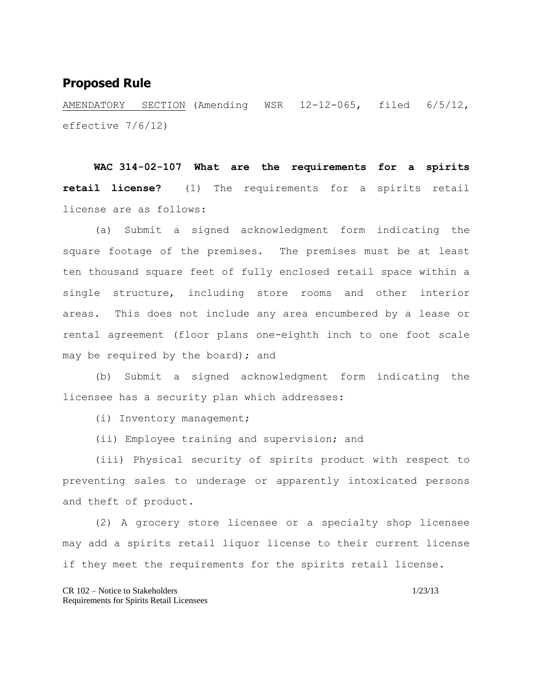## **Proposed Rule**

AMENDATORY SECTION (Amending WSR 12-12-065, filed 6/5/12, effective 7/6/12)

**WAC 314-02-107 What are the requirements for a spirits retail license?** (1) The requirements for a spirits retail license are as follows:

(a) Submit a signed acknowledgment form indicating the square footage of the premises. The premises must be at least ten thousand square feet of fully enclosed retail space within a single structure, including store rooms and other interior areas. This does not include any area encumbered by a lease or rental agreement (floor plans one-eighth inch to one foot scale may be required by the board); and

(b) Submit a signed acknowledgment form indicating the licensee has a security plan which addresses:

(i) Inventory management;

(ii) Employee training and supervision; and

(iii) Physical security of spirits product with respect to preventing sales to underage or apparently intoxicated persons and theft of product.

(2) A grocery store licensee or a specialty shop licensee may add a spirits retail liquor license to their current license if they meet the requirements for the spirits retail license.